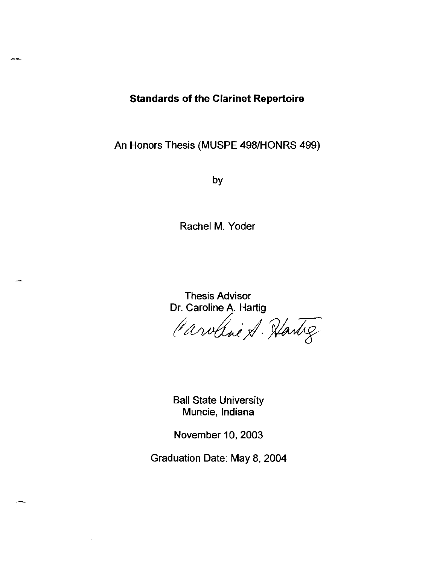# **Standards of the Clarinet Repertoire**

An Honors Thesis (MUSPE 498/HONRS 499)

by

Rachel M. Yoder

Thesis Advisor Dr. Caroline A. Hartig

Caroline A. Hartig

Ball State University Muncie, Indiana

November 10, 2003

Graduation Date: May 8, 2004

.-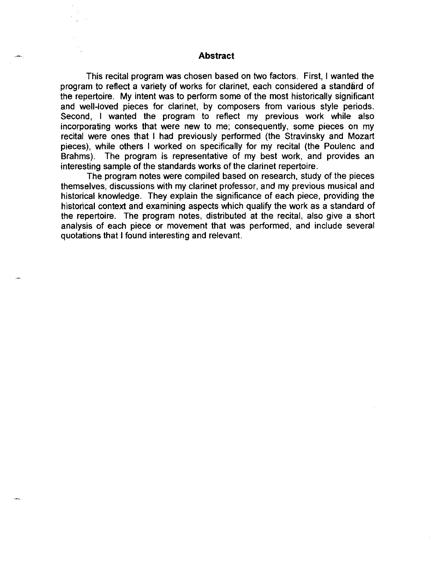### **Abstract**

This recital program was chosen based on two factors. First, I wanted the program to reflect a variety of works for clarinet, each considered a standard of the repertoire. My intent was to perform some of the most historically significant and well-loved pieces for clarinet, by composers from various style periods. Second, I wanted the program to reflect my previous work while also incorporating works that were new to me; consequently, some pieces on my recital were ones that I had previously performed (the Stravinsky and Mozart pieces), while others I worked on specifically for my recital (the Poulenc and Brahms). The program is representative of my best work, and provides an interesting sample of the standards works of the clarinet repertoire.

The program notes were compiled based on research, study of the pieces themselves, discussions with my clarinet professor, and my previous musical and historical knowledge. They explain the significance of each piece, providing the historical context and examining aspects which qualify the work as a standard of the repertoire. The program notes, distributed at the recital, also give a short analysis of each piece or movement that was performed, and include several quotations that I found interesting and relevant.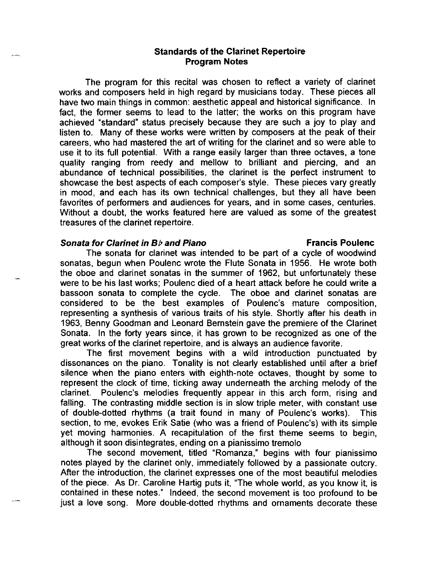## **Standards of the Clarinet Repertoire Program Notes**

The program for this recital was chosen to reflect a variety of clarinet works and composers held in high regard by musicians today. These pieces all have two main things in common: aesthetic appeal and historical significance. In fact, the former seems to lead to the latter; the works on this program have achieved "standard" status precisely because they are such a joy to play and listen to. Many of these works were written by composers at the peak of their careers, who had mastered the art of writing for the clarinet and so were able to use it to its full potential. With a range easily larger than three octaves, a tone quality ranging from reedy and mellow to brilliant and piercing, and an abundance of technical possibilities, the clarinet is the perfect instrument to showcase the best aspects of each composer's style. These pieces vary greatly in mood, and each has its own technical challenges, but they all have been favorites of performers and audiences for years, and in some cases, centuries. Without a doubt, the works featured here are valued as some of the greatest treasures of the clarinet repertoire.

### **Sonata for Clarinet in B<sub>b</sub> and Piano <b>Francis Poulence Francis Poulenc**

The sonata for clarinet was intended to be part of a cycle of woodwind sonatas, begun when Poulenc wrote the Flute Sonata in 1956. He wrote both the oboe and clarinet sonatas in the summer of 1962, but unfortunately these were to be his last works; Poulenc died of a heart attack before he could write a bassoon sonata to complete the cycle. The oboe and clarinet sonatas are considered to be the best examples of Poulenc's mature composition, representing a synthesis of various traits of his style. Shortly after his death in 1963, Benny Goodman and Leonard Bernstein gave the premiere of the Clarinet Sonata. In the forty years since, it has grown to be recognized as one of the great works of the clarinet repertoire, and is always an audience favorite.

The first movement begins with a wild introduction punctuated by dissonances on the piano. Tonality is not clearly established until after a brief silence when the piano enters with eighth-note octaves, thought by some to represent the clock of time, ticking away underneath the arching melody of the clarinet. Poulenc's melodies frequently appear in this arch form, rising and falling. The contrasting middle section is in slow triple meter, with constant use of double-dotted rhythms (a trait found in many of Poulenc's works). This section, to me, evokes Erik Satie (who was a friend of Poulenc's) with its simple yet moving harmonies. A recapitulation of the first theme seems to begin, although it soon disintegrates, ending on a pianissimo tremolo

The second movement, titled "Romanza," begins with four pianissimo notes played by the clarinet only, immediately followed by a passionate outcry. After the introduction, the clarinet expresses one of the most beautiful melodies of the piece. As Dr. Caroline Hartig puts it, "The whole world, as you know it, is contained in these notes." Indeed, the second movement is too profound to be just a love song. More double-dotted rhythms and ornaments decorate these

.<br>Gundên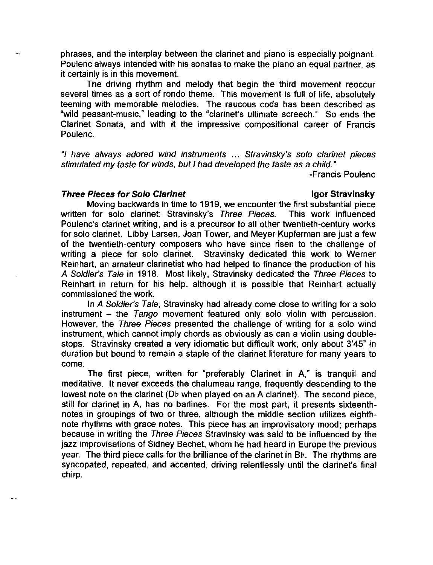phrases, and the interplay between the clarinet and piano is especially poignant. Poulenc always intended with his sonatas to make the piano an equal partner, as it certainly is in this movement.

The driving rhythm and melody that begin the third movement reoccur several times as a sort of rondo theme. This movement is full of life, absolutely teeming with memorable melodies. The raucous coda has been described as "wild peasant-music," leading to the "clarinet's ultimate screech." So ends the Clarinet Sonata, and with it the impressive compositional career of Francis Poulenc.

"I have always adored wind instruments ... Stravinsky's solo clarinet pieces stimulated my taste for winds, but I had developed the taste as a child."

-Francis Poulenc

### **Three Pieces for Solo Clarinet Community Community Community Community Community Community Community Community**

ing.<br>Kabupatèn

Moving backwards in time to 1919, we encounter the first substantial piece written for solo clarinet: Stravinsky's Three Pieces. This work influenced Poulenc's clarinet writing, and is a precursor to all other twentieth-century works for solo clarinet. Libby Larsen, Joan Tower, and Meyer Kupferman are just a few of the twentieth-century composers who have since risen to the challenge of writing a piece for solo clarinet. Stravinsky dedicated this work to Werner Reinhart, an amateur clarinetist who had helped to finance the production of his A Soldier's Tale in 1918. Most likely, Stravinsky dedicated the Three Pieces to Reinhart in return for his help, although it is possible that Reinhart actually commissioned the work.

In A Soldier's Tale, Stravinsky had already come close to writing for a solo instrument  $-$  the Tango movement featured only solo violin with percussion. However, the Three Pieces presented the challenge of writing for a solo wind instrument, which cannot imply chords as obviously as can a violin using doublestops. Stravinsky created a very idiomatic but difficult work, only about 3'45" in duration but bound to remain a staple of the clarinet literature for many years to come.

The first piece, written for "preferably Clarinet in A," is tranquil and meditative. It never exceeds the chalumeau range, frequently descending to the lowest note on the clarinet (D $\flat$  when played on an A clarinet). The second piece, still for clarinet in A, has no barlines. For the most part, it presents sixteenthnotes in groupings of two or three, although the middle section utilizes eighthnote rhythms with grace notes. This piece has an improvisatory mood; perhaps because in writing the Three Pieces Stravinsky was said to be influenced by the jazz improvisations of Sidney Bechet, whom he had heard in Europe the previous year. The third piece calls for the brilliance of the clarinet in Bb. The rhythms are syncopated, repeated, and accented, driving relentlessly until the clarinet's final chirp.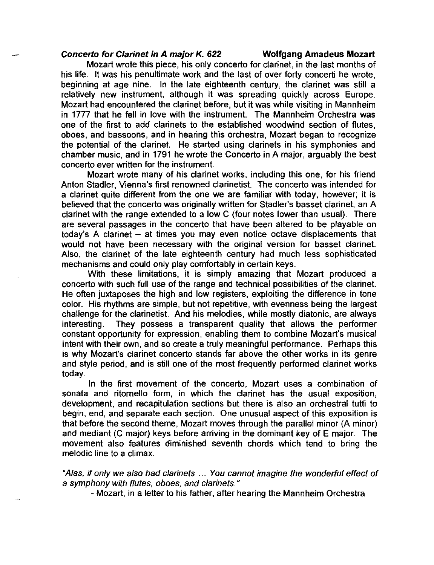### **Concerto for Clarinet in A major K. 622 Wolfgang Amadeus Mozart**

Mozart wrote this piece, his only concerto for clarinet, in the last months of his life. It was his penultimate work and the last of over forty concerti he wrote, beginning at age nine. In the late eighteenth century, the clarinet was still a relatively new instrument, although it was spreading quickly across Europe. Mozart had encountered the clarinet before, but it was while visiting in Mannheim in 1777 that he fell in love with the instrument. The Mannheim Orchestra was one of the first to add clarinets to the established woodwind section of flutes, oboes, and bassoons, and in hearing this orchestra, Mozart began to recognize the potential of the clarinet. He started using clarinets in his symphonies and chamber music, and in 1791 he wrote the Concerto in A major, arguably the best concerto ever written for the instrument.

Mozart wrote many of his clarinet works, including this one, for his friend Anton Stadler, Vienna's first renowned clarinetist. The concerto was intended for a clarinet quite different from the one we are familiar with today, however; it is believed that the concerto was originally written for Stadler's basset clarinet, an A clarinet with the range extended to a low C (four notes lower than usual). There are several passages in the concerto that have been altered to be playable on today's A clarinet - at times you may even notice octave displacements that would not have been necessary with the original version for basset clarinet. Also, the clarinet of the late eighteenth century had much less sophisticated mechanisms and could only play comfortably in certain keys.

With these limitations, it is simply amazing that Mozart produced a concerto with such full use of the range and technical possibilities of the clarinet. He often juxtaposes the high and low registers, exploiting the difference in tone color. His rhythms are simple, but not repetitive, with evenness being the largest challenge for the clarinetist. And his melodies, while mostly diatonic, are always interesting. They possess a transparent quality that allows the performer constant opportunity for expression, enabling them to combine Mozart's musical intent with their own, and so create a truly meaningful performance. Perhaps this is why Mozart's clarinet concerto stands far above the other works in its genre and style period, and is still one of the most frequently performed clarinet works today.

In the first movement of the concerto, Mozart uses a combination of sonata and ritornello form, in which the clarinet has the usual exposition, development, and recapitulation sections but there is also an orchestral tutti to begin, end, and separate each section. One unusual aspect of this exposition is that before the second theme, Mozart moves through the parallel minor (A minor) and mediant (C major) keys before arriving in the dominant key of E major. The movement also features diminished seventh chords which tend to bring the melodic line to a climax.

"Alas, if only we also had clarinets ... You cannot imagine the wonderful effect of a symphony with flutes, oboes, and clarinets."

- Mozart, in a letter to his father, after hearing the Mannheim Orchestra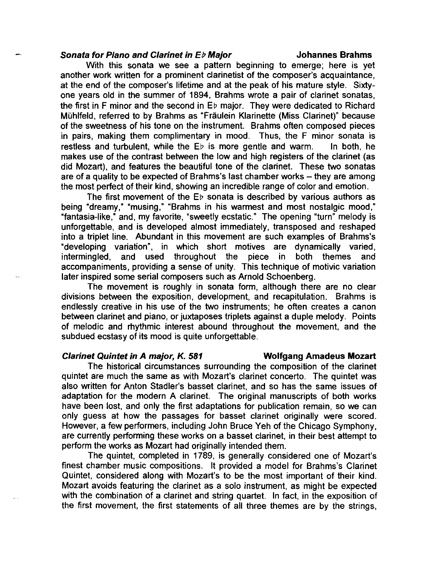### **Sonata for Piano and Clarinet in E<sub>b</sub> Major <b>***Johannes Brahms*

With this sonata we see a pattern beginning to emerge; here is yet another work written for a prominent clarinetist of the composer's acquaintance, at the end of the composer's lifetime and at the peak of his mature style. Sixtyone years old in the summer of 1894, Brahms wrote a pair of clarinet sonatas, the first in F minor and the second in Eb major. They were dedicated to Richard Mühlfeld, referred to by Brahms as "Fräulein Klarinette (Miss Clarinet)" because of the sweetness of his tone on the instrument. Brahms often composed pieces in pairs, making them complimentary in mood. Thus, the F minor sonata is restless and turbulent, while the  $E_{\nu}$  is more gentle and warm. In both, he makes use of the contrast between the low and high registers of the clarinet (as did Mozart), and features the beautiful tone of the clarinet. These two sonatas are of a quality to be expected of Brahms's last chamber works – they are among the most perfect of their kind, showing an incredible range of color and emotion.

The first movement of the  $E_{\nu}$  sonata is described by various authors as being "dreamy," "musing," "Brahms in his warmest and most nostalgic mood," "fantasia-like," and, my favorite, "sweetly ecstatic." The opening "turn" melody is unforgettable, and is developed almost immediately, transposed and reshaped into a triplet line. Abundant in this movement are such examples of Brahms's "developing variation", in which short motives are dynamically varied, and used throughout the piece in both themes and accompaniments, providing a sense of unity. This technique of motivic variation later inspired some serial composers such as Arnold Schoenberg.

The movement is roughly in sonata form, although there are no clear divisions between the exposition, development, and recapitulation. Brahms is endlessly creative in his use of the two instruments; he often creates a canon between clarinet and piano, or juxtaposes triplets against a duple melody. Points of melodic and rhythmic interest abound throughout the movement, and the subdued ecstasy of its mood is quite unforgettable.

#### **Clarinet Quintet in A major, K. 581 Wolfgang Amadeus Mozart**

# The historical circumstances surrounding the composition of the clarinet quintet are much the same as with Mozart's clarinet concerto. The quintet was also written for Anton Stadler's basset clarinet, and so has the same issues of adaptation for the modern A clarinet. The original manuscripts of both works have been lost, and only the first adaptations for publication remain, so we can only guess at how the passages for basset clarinet originally were scored. However, a few performers, including John Bruce Yeh of the Chicago Symphony, are currently performing these works on a basset clarinet, in their best attempt to perform the works as Mozart had originally intended them.

The quintet, completed in 1789, is generally considered one of Mozart's finest chamber music compositions. It provided a model for Brahms's Clarinet Quintet, considered along with Mozart's to be the most important of their kind. Mozart avoids featuring the clarinet as a solo instrument, as might be expected with the combination of a clarinet and string quartet. In fact, in the exposition of the first movement, the first statements of all three themes are by the strings,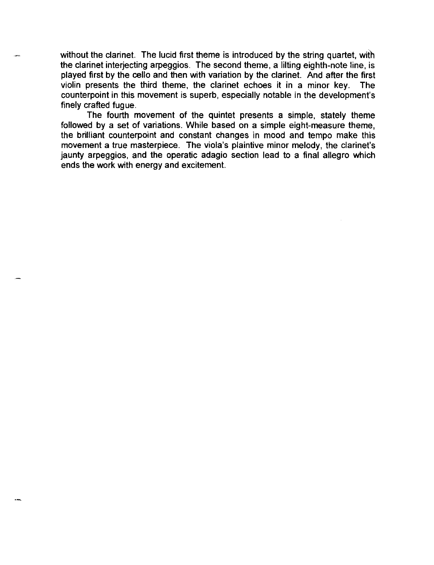without the clarinet. The lucid first theme is introduced by the string quartet, with the clarinet interjecting arpeggios. The second theme, a lilting eighth-note line, is played first by the cello and then with variation by the clarinet. And after the first violin presents the third theme, the clarinet echoes it in a minor key. The counterpoint in this movement is superb, especially notable in the development's finely crafted fugue.

The fourth movement of the quintet presents a simple, stately theme followed by a set of variations. While based on a simple eight-measure theme, the brilliant counterpoint and constant changes in mood and tempo make this movement a true masterpiece. The viola's plaintive minor melody, the clarinet's jaunty arpeggios, and the operatic adagio section lead to a final allegro which ends the work with energy and excitement.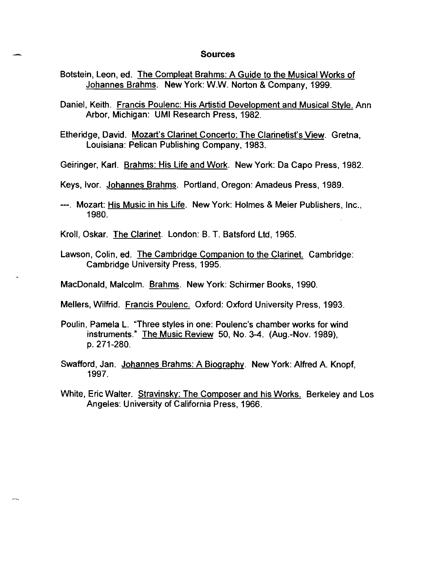#### **Sources**

- Botstein, Leon, ed. The Compleat Brahms: A Guide to the Musical Works of Johannes Brahms. New York: W.W. Norton & Company, 1999.
- Daniel, Keith. Francis Poulenc: His Artistid Development and Musical Stvle. Ann Arbor, Michigan: **UMI** Research Press, 1982.
- Etheridge, David. Mozart's Clarinet Concerto: The Clarinetist's View. Gretna, Louisiana: Pelican Publishing Company, 1983.
- Geiringer, Karl. Brahms: His Life and Work. New York: Da Capo Press, 1982.
- Keys, Ivor. Johannes Brahms. Portland, Oregon: Amadeus Press, 1989.
- ---. Mozart: His Music in his Life. New York: Holmes & Meier Publishers, Inc., 1980.

Kroll, Oskar. The Clarinet. London: B. T. Batsford Ltd, 1965.

- Lawson, Colin, ed. The Cambridge Companion to the Clarinet. Cambridge: Cambridge University Press, 1995.
- MacDonald, Malcolm. Brahms. New York: Schirmer Books, 1990.

Mellers, Wilfrid. Francis Poulenc. Oxford: Oxford University Press, 1993.

- Poulin, Pamela L. "Three styles in one: Poulenc's chamber works for wind instruments." The Music Review 50, No. 3-4. (Aug.-Nov. 1989), p.271-280.
- Swafford, Jan. Johannes Brahms: A Biography. New York: Alfred A. Knopf, 1997.
- White, Eric Walter. Stravinsky: The Composer and his Works. Berkeley and Los Angeles: University of California Press, 1966.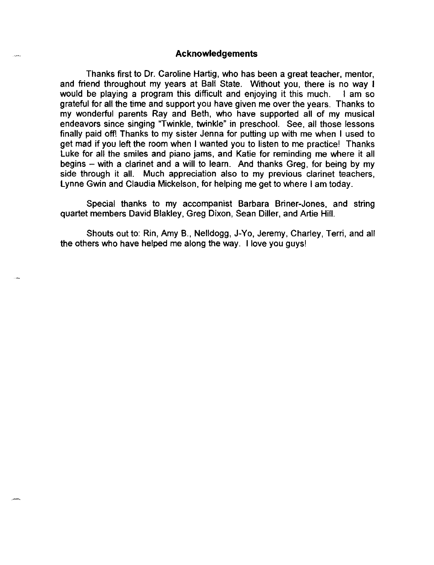### **Acknowledgements**

Thanks first to Dr. Caroline Hartig, who has been a great teacher, mentor, and friend throughout my years at Ball State. Without you, there is no way I would be playing a program this difficult and enjoying it this much. I am so grateful for all the time and support you have given me over the years. Thanks to my wonderful parents Ray and Beth, who have supported all of my musical endeavors since singing "Twinkle, twinkle" in preschool. See, all those lessons finally paid off! Thanks to my sister Jenna for putting up with me when I used to get mad if you left the room when I wanted you to listen to me practice! Thanks Luke for all the smiles and piano jams, and Katie for reminding me where it all begins – with a clarinet and a will to learn. And thanks Greg, for being by my side through it all. Much appreciation also to my previous clarinet teachers, Lynne Gwin and Claudia Mickelson, for helping me get to where I am today.

Special thanks to my accompanist Barbara Briner-Jones, and string quartet members David Blakley, Greg Dixon, Sean Diller, and Artie Hill.

Shouts out to: Rin, Amy B., Nelldogg, J-Yo, Jeremy, Charley, Terri, and all the others who have helped me along the way. I love you guys!